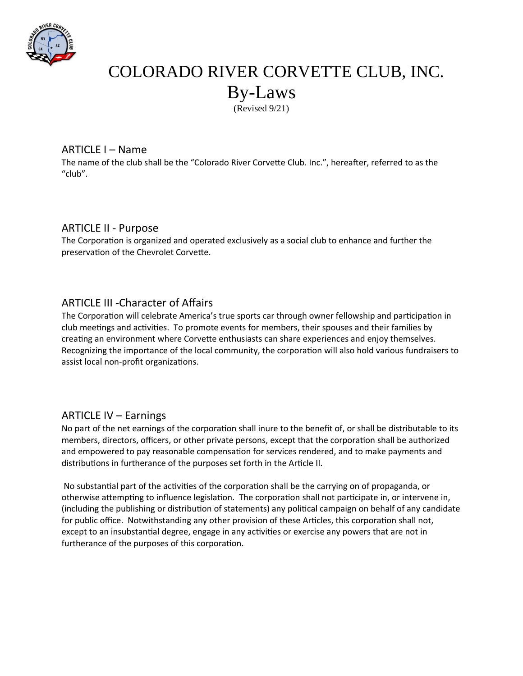

# COLORADO RIVER CORVETTE CLUB, INC. By-Laws (Revised 9/21)

## ARTICLE I – Name

The name of the club shall be the "Colorado River Corvette Club. Inc.", hereafter, referred to as the "club".

## ARTICLE II - Purpose

The Corporation is organized and operated exclusively as a social club to enhance and further the preservation of the Chevrolet Corvette.

# ARTICLE III -Character of Affairs

The Corporation will celebrate America's true sports car through owner fellowship and participation in club meetings and activities. To promote events for members, their spouses and their families by creating an environment where Corvette enthusiasts can share experiences and enjoy themselves. Recognizing the importance of the local community, the corporation will also hold various fundraisers to assist local non-profit organizations.

# ARTICLE IV – Earnings

No part of the net earnings of the corporation shall inure to the benefit of, or shall be distributable to its members, directors, officers, or other private persons, except that the corporation shall be authorized and empowered to pay reasonable compensation for services rendered, and to make payments and distributions in furtherance of the purposes set forth in the Article II.

 No substantial part of the activities of the corporation shall be the carrying on of propaganda, or otherwise attempting to influence legislation. The corporation shall not participate in, or intervene in, (including the publishing or distribution of statements) any political campaign on behalf of any candidate for public office. Notwithstanding any other provision of these Articles, this corporation shall not, except to an insubstantial degree, engage in any activities or exercise any powers that are not in furtherance of the purposes of this corporation.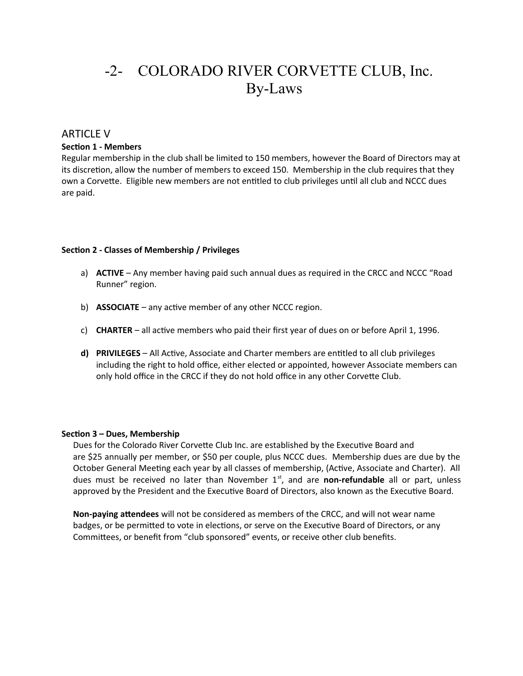# -2- COLORADO RIVER CORVETTE CLUB, Inc. By-Laws

## ARTICLE V

#### **Section 1 - Members**

Regular membership in the club shall be limited to 150 members, however the Board of Directors may at its discretion, allow the number of members to exceed 150. Membership in the club requires that they own a Corvette. Eligible new members are not entitled to club privileges until all club and NCCC dues are paid.

#### **Section 2 - Classes of Membership / Privileges**

- a) **ACTIVE** Any member having paid such annual dues as required in the CRCC and NCCC "Road Runner" region.
- b) **ASSOCIATE** any active member of any other NCCC region.
- c) **CHARTER** all active members who paid their first year of dues on or before April 1, 1996.
- **d) PRIVILEGES** All Active, Associate and Charter members are entitled to all club privileges including the right to hold office, either elected or appointed, however Associate members can only hold office in the CRCC if they do not hold office in any other Corvette Club.

#### **Section 3 – Dues, Membership**

Dues for the Colorado River Corvette Club Inc. are established by the Executive Board and are \$25 annually per member, or \$50 per couple, plus NCCC dues. Membership dues are due by the October General Meeting each year by all classes of membership, (Active, Associate and Charter). All dues must be received no later than November 1<sup>st</sup>, and are **non-refundable** all or part, unless approved by the President and the Executive Board of Directors, also known as the Executive Board.

**Non-paying attendees** will not be considered as members of the CRCC, and will not wear name badges, or be permitted to vote in elections, or serve on the Executive Board of Directors, or any Committees, or benefit from "club sponsored" events, or receive other club benefits.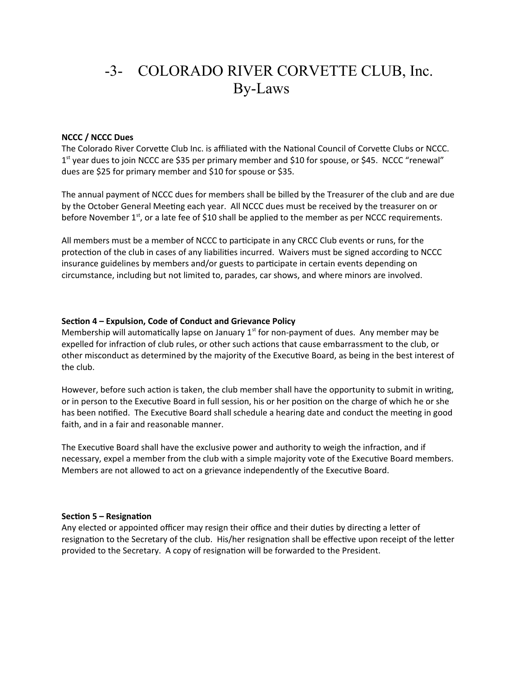# -3- COLORADO RIVER CORVETTE CLUB, Inc. By-Laws

#### **NCCC / NCCC Dues**

The Colorado River Corvette Club Inc. is affiliated with the National Council of Corvette Clubs or NCCC. 1<sup>st</sup> year dues to join NCCC are \$35 per primary member and \$10 for spouse, or \$45. NCCC "renewal" dues are \$25 for primary member and \$10 for spouse or \$35.

The annual payment of NCCC dues for members shall be billed by the Treasurer of the club and are due by the October General Meeting each year. All NCCC dues must be received by the treasurer on or before November  $1<sup>st</sup>$ , or a late fee of \$10 shall be applied to the member as per NCCC requirements.

All members must be a member of NCCC to participate in any CRCC Club events or runs, for the protection of the club in cases of any liabilities incurred. Waivers must be signed according to NCCC insurance guidelines by members and/or guests to participate in certain events depending on circumstance, including but not limited to, parades, car shows, and where minors are involved.

#### **Section 4 – Expulsion, Code of Conduct and Grievance Policy**

Membership will automatically lapse on January  $1<sup>st</sup>$  for non-payment of dues. Any member may be expelled for infraction of club rules, or other such actions that cause embarrassment to the club, or other misconduct as determined by the majority of the Executive Board, as being in the best interest of the club.

However, before such action is taken, the club member shall have the opportunity to submit in writing, or in person to the Executive Board in full session, his or her position on the charge of which he or she has been notified. The Executive Board shall schedule a hearing date and conduct the meeting in good faith, and in a fair and reasonable manner.

The Executive Board shall have the exclusive power and authority to weigh the infraction, and if necessary, expel a member from the club with a simple majority vote of the Executive Board members. Members are not allowed to act on a grievance independently of the Executive Board.

#### **Section 5 – Resignation**

Any elected or appointed officer may resign their office and their duties by directing a letter of resignation to the Secretary of the club. His/her resignation shall be effective upon receipt of the letter provided to the Secretary. A copy of resignation will be forwarded to the President.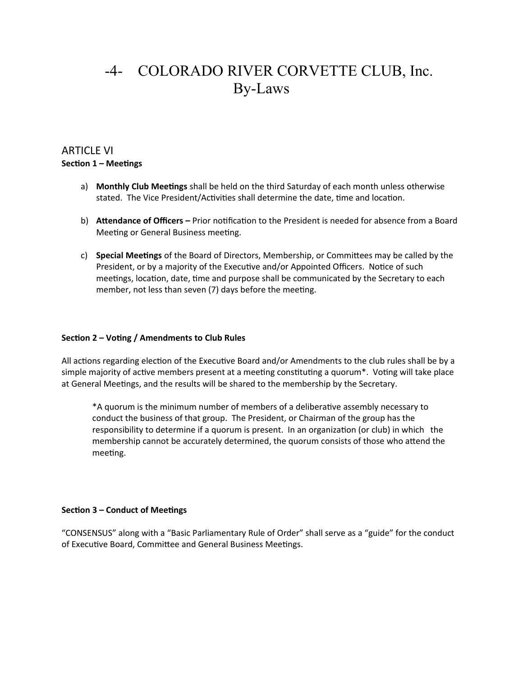# -4- COLORADO RIVER CORVETTE CLUB, Inc. By-Laws

## ARTICLE VI **Section 1 – Meetings**

- a) **Monthly Club Meetings** shall be held on the third Saturday of each month unless otherwise stated. The Vice President/Activities shall determine the date, time and location.
- b) **Attendance of Officers** Prior notification to the President is needed for absence from a Board Meeting or General Business meeting.
- c) **Special Meetings** of the Board of Directors, Membership, or Committees may be called by the President, or by a majority of the Executive and/or Appointed Officers. Notice of such meetings, location, date, time and purpose shall be communicated by the Secretary to each member, not less than seven (7) days before the meeting.

### **Section 2 – Voting / Amendments to Club Rules**

All actions regarding election of the Executive Board and/or Amendments to the club rules shall be by a simple majority of active members present at a meeting constituting a quorum\*. Voting will take place at General Meetings, and the results will be shared to the membership by the Secretary.

\*A quorum is the minimum number of members of a deliberative assembly necessary to conduct the business of that group. The President, or Chairman of the group has the responsibility to determine if a quorum is present. In an organization (or club) in which the membership cannot be accurately determined, the quorum consists of those who attend the meeting.

### **Section 3 – Conduct of Meetings**

"CONSENSUS" along with a "Basic Parliamentary Rule of Order" shall serve as a "guide" for the conduct of Executive Board, Committee and General Business Meetings.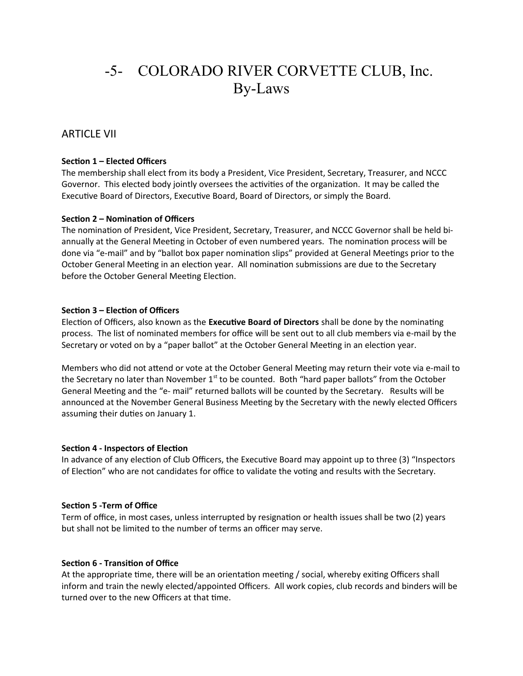# -5- COLORADO RIVER CORVETTE CLUB, Inc. By-Laws

## ARTICLE VII

#### **Section 1 – Elected Officers**

The membership shall elect from its body a President, Vice President, Secretary, Treasurer, and NCCC Governor. This elected body jointly oversees the activities of the organization. It may be called the Executive Board of Directors, Executive Board, Board of Directors, or simply the Board.

#### **Section 2 – Nomination of Officers**

The nomination of President, Vice President, Secretary, Treasurer, and NCCC Governor shall be held biannually at the General Meeting in October of even numbered years. The nomination process will be done via "e-mail" and by "ballot box paper nomination slips" provided at General Meetings prior to the October General Meeting in an election year. All nomination submissions are due to the Secretary before the October General Meeting Election.

#### **Section 3 – Election of Officers**

Election of Officers, also known as the **Executive Board of Directors** shall be done by the nominating process. The list of nominated members for office will be sent out to all club members via e-mail by the Secretary or voted on by a "paper ballot" at the October General Meeting in an election year.

Members who did not attend or vote at the October General Meeting may return their vote via e-mail to the Secretary no later than November  $1<sup>st</sup>$  to be counted. Both "hard paper ballots" from the October General Meeting and the "e- mail" returned ballots will be counted by the Secretary. Results will be announced at the November General Business Meeting by the Secretary with the newly elected Officers assuming their duties on January 1.

#### **Section 4 - Inspectors of Election**

In advance of any election of Club Officers, the Executive Board may appoint up to three (3) "Inspectors of Election" who are not candidates for office to validate the voting and results with the Secretary.

#### **Section 5 -Term of Office**

Term of office, in most cases, unless interrupted by resignation or health issues shall be two (2) years but shall not be limited to the number of terms an officer may serve.

#### **Section 6 - Transition of Office**

At the appropriate time, there will be an orientation meeting / social, whereby exiting Officers shall inform and train the newly elected/appointed Officers. All work copies, club records and binders will be turned over to the new Officers at that time.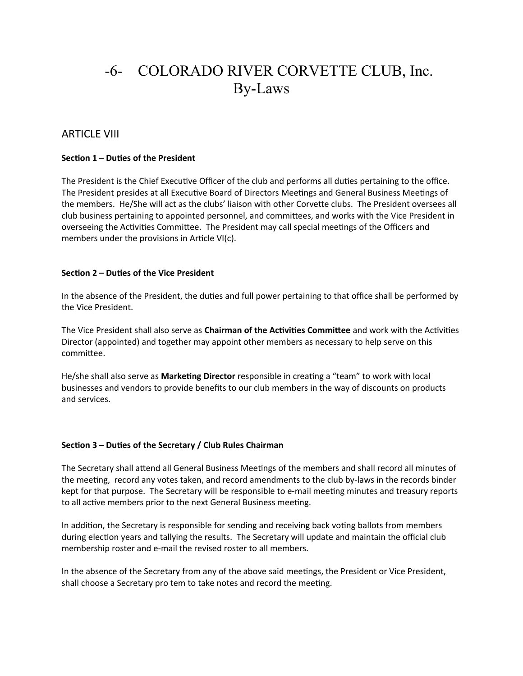# -6- COLORADO RIVER CORVETTE CLUB, Inc. By-Laws

## ARTICLE VIII

### **Section 1 – Duties of the President**

The President is the Chief Executive Officer of the club and performs all duties pertaining to the office. The President presides at all Executive Board of Directors Meetings and General Business Meetings of the members. He/She will act as the clubs' liaison with other Corvette clubs. The President oversees all club business pertaining to appointed personnel, and committees, and works with the Vice President in overseeing the Activities Committee. The President may call special meetings of the Officers and members under the provisions in Article VI(c).

## **Section 2 – Duties of the Vice President**

In the absence of the President, the duties and full power pertaining to that office shall be performed by the Vice President.

The Vice President shall also serve as **Chairman of the Activities Committee** and work with the Activities Director (appointed) and together may appoint other members as necessary to help serve on this committee.

He/she shall also serve as **Marketing Director** responsible in creating a "team" to work with local businesses and vendors to provide benefits to our club members in the way of discounts on products and services.

### **Section 3 – Duties of the Secretary / Club Rules Chairman**

The Secretary shall attend all General Business Meetings of the members and shall record all minutes of the meeting, record any votes taken, and record amendments to the club by-laws in the records binder kept for that purpose. The Secretary will be responsible to e-mail meeting minutes and treasury reports to all active members prior to the next General Business meeting.

In addition, the Secretary is responsible for sending and receiving back voting ballots from members during election years and tallying the results. The Secretary will update and maintain the official club membership roster and e-mail the revised roster to all members.

In the absence of the Secretary from any of the above said meetings, the President or Vice President, shall choose a Secretary pro tem to take notes and record the meeting.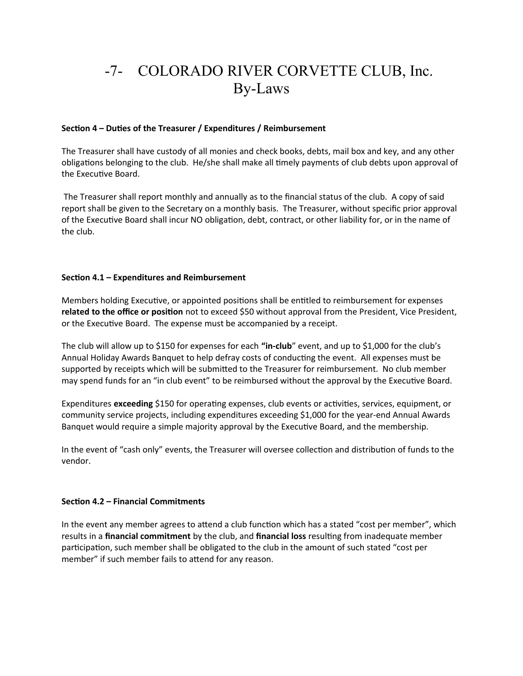# -7- COLORADO RIVER CORVETTE CLUB, Inc. By-Laws

### **Section 4 – Duties of the Treasurer / Expenditures / Reimbursement**

The Treasurer shall have custody of all monies and check books, debts, mail box and key, and any other obligations belonging to the club. He/she shall make all timely payments of club debts upon approval of the Executive Board.

 The Treasurer shall report monthly and annually as to the financial status of the club. A copy of said report shall be given to the Secretary on a monthly basis. The Treasurer, without specific prior approval of the Executive Board shall incur NO obligation, debt, contract, or other liability for, or in the name of the club.

## **Section 4.1 – Expenditures and Reimbursement**

Members holding Executive, or appointed positions shall be entitled to reimbursement for expenses **related to the office or position** not to exceed \$50 without approval from the President, Vice President, or the Executive Board. The expense must be accompanied by a receipt.

The club will allow up to \$150 for expenses for each **"in-club**" event, and up to \$1,000 for the club's Annual Holiday Awards Banquet to help defray costs of conducting the event. All expenses must be supported by receipts which will be submitted to the Treasurer for reimbursement. No club member may spend funds for an "in club event" to be reimbursed without the approval by the Executive Board.

Expenditures **exceeding** \$150 for operating expenses, club events or activities, services, equipment, or community service projects, including expenditures exceeding \$1,000 for the year-end Annual Awards Banquet would require a simple majority approval by the Executive Board, and the membership.

In the event of "cash only" events, the Treasurer will oversee collection and distribution of funds to the vendor.

### **Section 4.2 – Financial Commitments**

In the event any member agrees to attend a club function which has a stated "cost per member", which results in a **financial commitment** by the club, and **financial loss** resulting from inadequate member participation, such member shall be obligated to the club in the amount of such stated "cost per member" if such member fails to attend for any reason.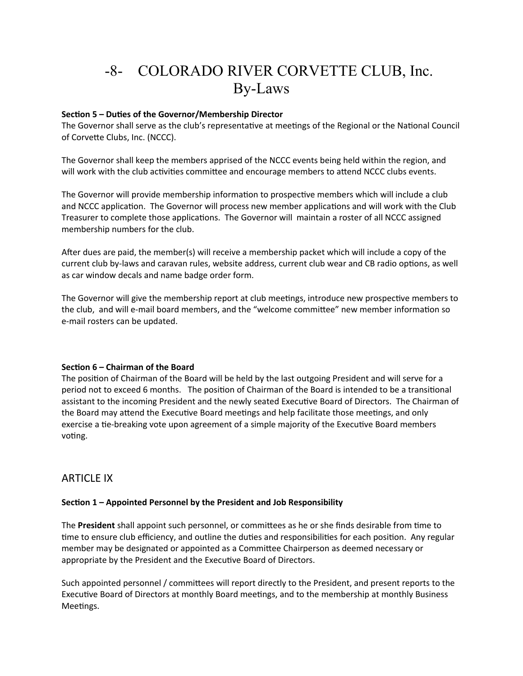# -8- COLORADO RIVER CORVETTE CLUB, Inc. By-Laws

### **Section 5 – Duties of the Governor/Membership Director**

The Governor shall serve as the club's representative at meetings of the Regional or the National Council of Corvette Clubs, Inc. (NCCC).

The Governor shall keep the members apprised of the NCCC events being held within the region, and will work with the club activities committee and encourage members to attend NCCC clubs events.

The Governor will provide membership information to prospective members which will include a club and NCCC application. The Governor will process new member applications and will work with the Club Treasurer to complete those applications. The Governor will maintain a roster of all NCCC assigned membership numbers for the club.

After dues are paid, the member(s) will receive a membership packet which will include a copy of the current club by-laws and caravan rules, website address, current club wear and CB radio options, as well as car window decals and name badge order form.

The Governor will give the membership report at club meetings, introduce new prospective members to the club, and will e-mail board members, and the "welcome committee" new member information so e-mail rosters can be updated.

### **Section 6 – Chairman of the Board**

The position of Chairman of the Board will be held by the last outgoing President and will serve for a period not to exceed 6 months. The position of Chairman of the Board is intended to be a transitional assistant to the incoming President and the newly seated Executive Board of Directors. The Chairman of the Board may attend the Executive Board meetings and help facilitate those meetings, and only exercise a tie-breaking vote upon agreement of a simple majority of the Executive Board members voting.

## ARTICLE IX

## **Section 1 – Appointed Personnel by the President and Job Responsibility**

The **President** shall appoint such personnel, or committees as he or she finds desirable from time to time to ensure club efficiency, and outline the duties and responsibilities for each position. Any regular member may be designated or appointed as a Committee Chairperson as deemed necessary or appropriate by the President and the Executive Board of Directors.

Such appointed personnel / committees will report directly to the President, and present reports to the Executive Board of Directors at monthly Board meetings, and to the membership at monthly Business Meetings.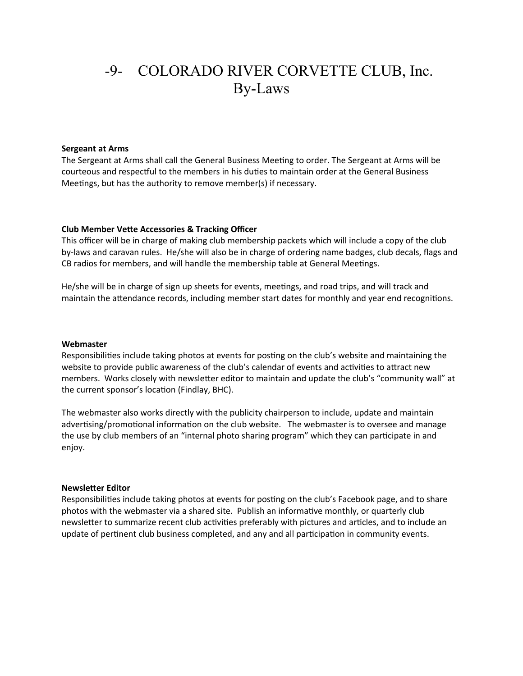# -9- COLORADO RIVER CORVETTE CLUB, Inc. By-Laws

#### **Sergeant at Arms**

The Sergeant at Arms shall call the General Business Meeting to order. The Sergeant at Arms will be courteous and respectful to the members in his duties to maintain order at the General Business Meetings, but has the authority to remove member(s) if necessary.

#### **Club Member Vette Accessories & Tracking Officer**

This officer will be in charge of making club membership packets which will include a copy of the club by-laws and caravan rules. He/she will also be in charge of ordering name badges, club decals, flags and CB radios for members, and will handle the membership table at General Meetings.

He/she will be in charge of sign up sheets for events, meetings, and road trips, and will track and maintain the attendance records, including member start dates for monthly and year end recognitions.

#### **Webmaster**

Responsibilities include taking photos at events for posting on the club's website and maintaining the website to provide public awareness of the club's calendar of events and activities to attract new members. Works closely with newsletter editor to maintain and update the club's "community wall" at the current sponsor's location (Findlay, BHC).

The webmaster also works directly with the publicity chairperson to include, update and maintain advertising/promotional information on the club website. The webmaster is to oversee and manage the use by club members of an "internal photo sharing program" which they can participate in and enjoy.

#### **Newsletter Editor**

Responsibilities include taking photos at events for posting on the club's Facebook page, and to share photos with the webmaster via a shared site. Publish an informative monthly, or quarterly club newsletter to summarize recent club activities preferably with pictures and articles, and to include an update of pertinent club business completed, and any and all participation in community events.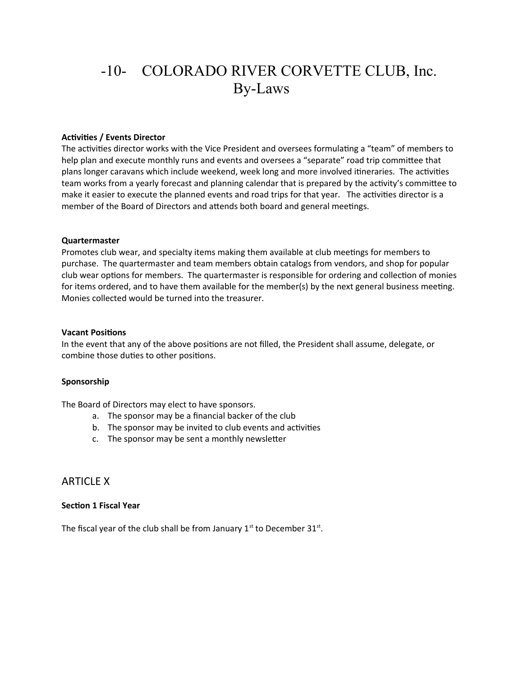# -10- COLORADO RIVER CORVETTE CLUB, Inc. By-Laws

#### **Activities / Events Director**

The activities director works with the Vice President and oversees formulating a "team" of members to help plan and execute monthly runs and events and oversees a "separate" road trip committee that plans longer caravans which include weekend, week long and more involved itineraries. The activities team works from a yearly forecast and planning calendar that is prepared by the activity's committee to make it easier to execute the planned events and road trips for that year. The activities director is a member of the Board of Directors and attends both board and general meetings.

#### **Quartermaster**

Promotes club wear, and specialty items making them available at club meetings for members to purchase. The quartermaster and team members obtain catalogs from vendors, and shop for popular club wear options for members. The quartermaster is responsible for ordering and collection of monies for items ordered, and to have them available for the member(s) by the next general business meeting. Monies collected would be turned into the treasurer.

#### **Vacant Positions**

In the event that any of the above positions are not filled, the President shall assume, delegate, or combine those duties to other positions.

#### **Sponsorship**

The Board of Directors may elect to have sponsors.

- a. The sponsor may be a financial backer of the club
- b. The sponsor may be invited to club events and activities
- c. The sponsor may be sent a monthly newsletter

## ARTICLE X

#### **Section 1 Fiscal Year**

The fiscal year of the club shall be from January  $1<sup>st</sup>$  to December 31 $<sup>st</sup>$ .</sup>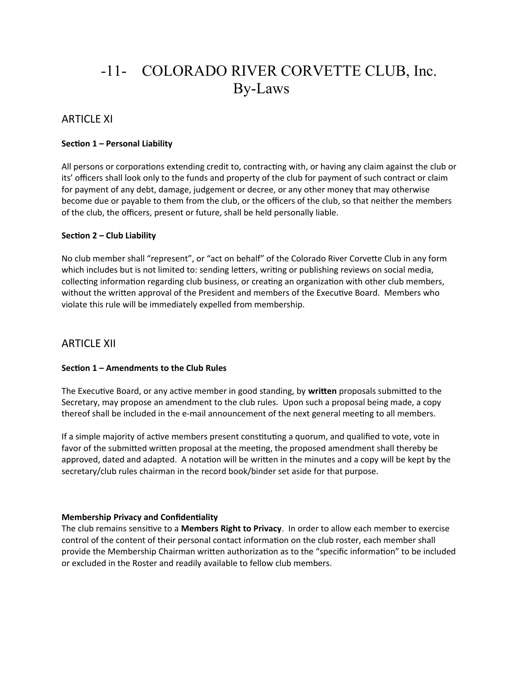# -11- COLORADO RIVER CORVETTE CLUB, Inc. By-Laws

# ARTICLE XI

## **Section 1 – Personal Liability**

All persons or corporations extending credit to, contracting with, or having any claim against the club or its' officers shall look only to the funds and property of the club for payment of such contract or claim for payment of any debt, damage, judgement or decree, or any other money that may otherwise become due or payable to them from the club, or the officers of the club, so that neither the members of the club, the officers, present or future, shall be held personally liable.

### **Section 2 – Club Liability**

No club member shall "represent", or "act on behalf" of the Colorado River Corvette Club in any form which includes but is not limited to: sending letters, writing or publishing reviews on social media, collecting information regarding club business, or creating an organization with other club members, without the written approval of the President and members of the Executive Board. Members who violate this rule will be immediately expelled from membership.

## ARTICLE XII

### **Section 1 – Amendments to the Club Rules**

The Executive Board, or any active member in good standing, by **written** proposals submitted to the Secretary, may propose an amendment to the club rules. Upon such a proposal being made, a copy thereof shall be included in the e-mail announcement of the next general meeting to all members.

If a simple majority of active members present constituting a quorum, and qualified to vote, vote in favor of the submitted written proposal at the meeting, the proposed amendment shall thereby be approved, dated and adapted. A notation will be written in the minutes and a copy will be kept by the secretary/club rules chairman in the record book/binder set aside for that purpose.

#### **Membership Privacy and Confidentiality**

The club remains sensitive to a **Members Right to Privacy**. In order to allow each member to exercise control of the content of their personal contact information on the club roster, each member shall provide the Membership Chairman written authorization as to the "specific information" to be included or excluded in the Roster and readily available to fellow club members.